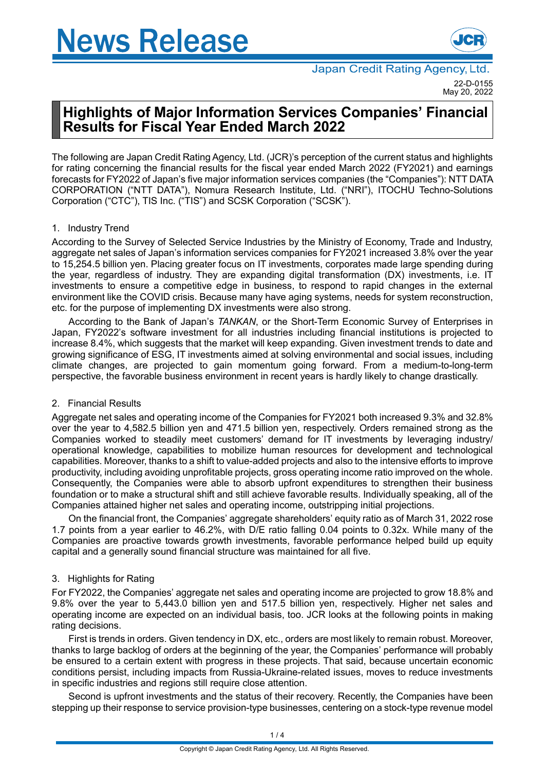# **News Release**



# **Highlights of Major Information Services Companies' Financial Results for Fiscal Year Ended March 2022**

The following are Japan Credit Rating Agency, Ltd. (JCR)'s perception of the current status and highlights for rating concerning the financial results for the fiscal year ended March 2022 (FY2021) and earnings forecasts for FY2022 of Japan's five major information services companies (the "Companies"): NTT DATA CORPORATION ("NTT DATA"), Nomura Research Institute, Ltd. ("NRI"), ITOCHU Techno-Solutions Corporation ("CTC"), TIS Inc. ("TIS") and SCSK Corporation ("SCSK").

# 1. Industry Trend

According to the Survey of Selected Service Industries by the Ministry of Economy, Trade and Industry, aggregate net sales of Japan's information services companies for FY2021 increased 3.8% over the year to 15,254.5 billion yen. Placing greater focus on IT investments, corporates made large spending during the year, regardless of industry. They are expanding digital transformation (DX) investments, i.e. IT investments to ensure a competitive edge in business, to respond to rapid changes in the external environment like the COVID crisis. Because many have aging systems, needs for system reconstruction, etc. for the purpose of implementing DX investments were also strong.

According to the Bank of Japan's *TANKAN*, or the Short-Term Economic Survey of Enterprises in Japan, FY2022's software investment for all industries including financial institutions is projected to increase 8.4%, which suggests that the market will keep expanding. Given investment trends to date and growing significance of ESG, IT investments aimed at solving environmental and social issues, including climate changes, are projected to gain momentum going forward. From a medium-to-long-term perspective, the favorable business environment in recent years is hardly likely to change drastically.

# 2. Financial Results

Aggregate net sales and operating income of the Companies for FY2021 both increased 9.3% and 32.8% over the year to 4,582.5 billion yen and 471.5 billion yen, respectively. Orders remained strong as the Companies worked to steadily meet customers' demand for IT investments by leveraging industry/ operational knowledge, capabilities to mobilize human resources for development and technological capabilities. Moreover, thanks to a shift to value-added projects and also to the intensive efforts to improve productivity, including avoiding unprofitable projects, gross operating income ratio improved on the whole. Consequently, the Companies were able to absorb upfront expenditures to strengthen their business foundation or to make a structural shift and still achieve favorable results. Individually speaking, all of the Companies attained higher net sales and operating income, outstripping initial projections.

On the financial front, the Companies' aggregate shareholders' equity ratio as of March 31, 2022 rose 1.7 points from a year earlier to 46.2%, with D/E ratio falling 0.04 points to 0.32x. While many of the Companies are proactive towards growth investments, favorable performance helped build up equity capital and a generally sound financial structure was maintained for all five.

# 3. Highlights for Rating

For FY2022, the Companies' aggregate net sales and operating income are projected to grow 18.8% and 9.8% over the year to 5,443.0 billion yen and 517.5 billion yen, respectively. Higher net sales and operating income are expected on an individual basis, too. JCR looks at the following points in making rating decisions.

First is trends in orders. Given tendency in DX, etc., orders are most likely to remain robust. Moreover, thanks to large backlog of orders at the beginning of the year, the Companies' performance will probably be ensured to a certain extent with progress in these projects. That said, because uncertain economic conditions persist, including impacts from Russia-Ukraine-related issues, moves to reduce investments in specific industries and regions still require close attention.

Second is upfront investments and the status of their recovery. Recently, the Companies have been stepping up their response to service provision-type businesses, centering on a stock-type revenue model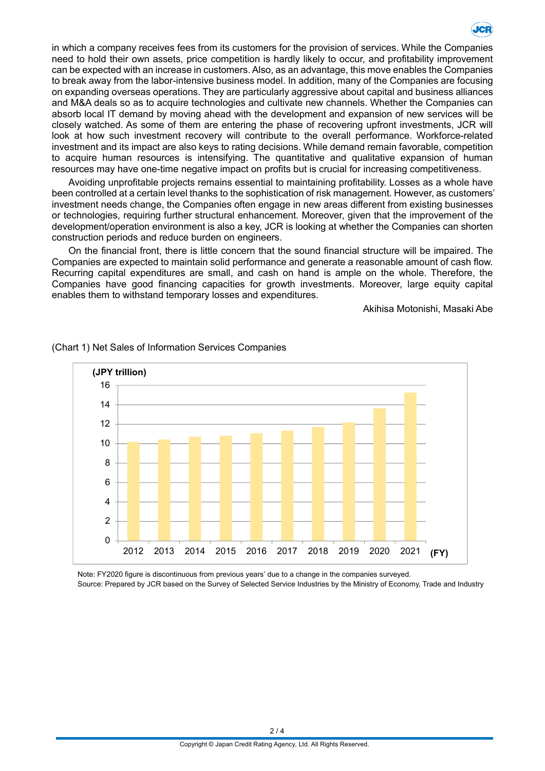

in which a company receives fees from its customers for the provision of services. While the Companies need to hold their own assets, price competition is hardly likely to occur, and profitability improvement can be expected with an increase in customers.Also, as an advantage, this move enables the Companies to break away from the labor-intensive business model. In addition, many of the Companies are focusing on expanding overseas operations. They are particularly aggressive about capital and business alliances and M&A deals so as to acquire technologies and cultivate new channels. Whether the Companies can absorb local IT demand by moving ahead with the development and expansion of new services will be closely watched. As some of them are entering the phase of recovering upfront investments, JCR will look at how such investment recovery will contribute to the overall performance. Workforce-related investment and its impact are also keys to rating decisions. While demand remain favorable, competition to acquire human resources is intensifying. The quantitative and qualitative expansion of human resources may have one-time negative impact on profits but is crucial for increasing competitiveness.

Avoiding unprofitable projects remains essential to maintaining profitability. Losses as a whole have been controlled at a certain level thanks to the sophistication of risk management. However, as customers' investment needs change, the Companies often engage in new areas different from existing businesses or technologies, requiring further structural enhancement. Moreover, given that the improvement of the development/operation environment is also a key, JCR is looking at whether the Companies can shorten construction periods and reduce burden on engineers.

On the financial front, there is little concern that the sound financial structure will be impaired. The Companies are expected to maintain solid performance and generate a reasonable amount of cash flow. Recurring capital expenditures are small, and cash on hand is ample on the whole. Therefore, the Companies have good financing capacities for growth investments. Moreover, large equity capital enables them to withstand temporary losses and expenditures.

Akihisa Motonishi, Masaki Abe



### (Chart 1) Net Sales of Information Services Companies

Note: FY2020 figure is discontinuous from previous years' due to a change in the companies surveyed. Source: Prepared by JCR based on the Survey of Selected Service Industries by the Ministry of Economy, Trade and Industry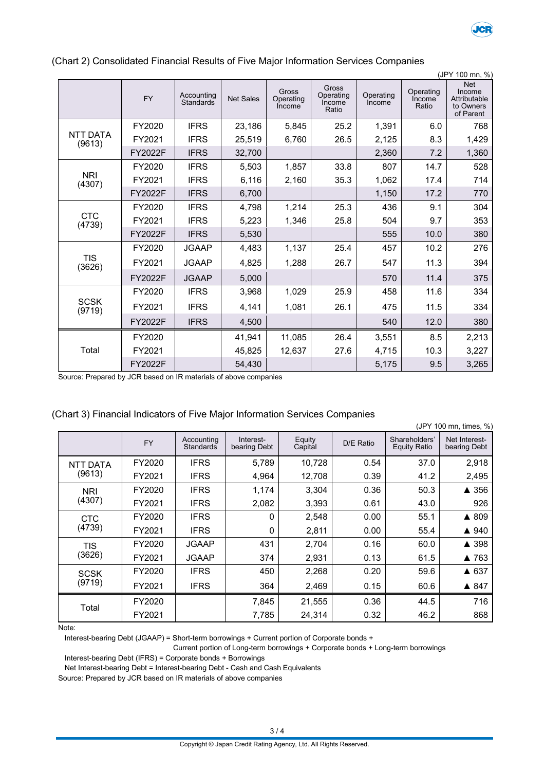

|                           | (JPY 100 mn, %) |                         |                  |                                     |                                       |                     |                              |                                                                |
|---------------------------|-----------------|-------------------------|------------------|-------------------------------------|---------------------------------------|---------------------|------------------------------|----------------------------------------------------------------|
|                           | <b>FY</b>       | Accounting<br>Standards | <b>Net Sales</b> | <b>Gross</b><br>Operating<br>Income | Gross<br>Operating<br>Income<br>Ratio | Operating<br>Income | Operating<br>Income<br>Ratio | <b>Net</b><br>Income<br>Attributable<br>to Owners<br>of Parent |
|                           | FY2020          | <b>IFRS</b>             | 23,186           | 5,845                               | 25.2                                  | 1,391               | 6.0                          | 768                                                            |
| <b>NTT DATA</b><br>(9613) | FY2021          | <b>IFRS</b>             | 25,519           | 6,760                               | 26.5                                  | 2,125               | 8.3                          | 1,429                                                          |
|                           | FY2022F         | <b>IFRS</b>             | 32,700           |                                     |                                       | 2,360               | 7.2                          | 1,360                                                          |
|                           | FY2020          | <b>IFRS</b>             | 5,503            | 1,857                               | 33.8                                  | 807                 | 14.7                         | 528                                                            |
| <b>NRI</b><br>(4307)      | FY2021          | <b>IFRS</b>             | 6,116            | 2,160                               | 35.3                                  | 1,062               | 17.4                         | 714                                                            |
|                           | FY2022F         | <b>IFRS</b>             | 6,700            |                                     |                                       | 1,150               | 17.2                         | 770                                                            |
|                           | FY2020          | <b>IFRS</b>             | 4,798            | 1,214                               | 25.3                                  | 436                 | 9.1                          | 304                                                            |
| <b>CTC</b><br>(4739)      | FY2021          | <b>IFRS</b>             | 5,223            | 1,346                               | 25.8                                  | 504                 | 9.7                          | 353                                                            |
|                           | FY2022F         | <b>IFRS</b>             | 5,530            |                                     |                                       | 555                 | 10.0                         | 380                                                            |
|                           | FY2020          | <b>JGAAP</b>            | 4,483            | 1,137                               | 25.4                                  | 457                 | 10.2                         | 276                                                            |
| <b>TIS</b><br>(3626)      | FY2021          | <b>JGAAP</b>            | 4,825            | 1,288                               | 26.7                                  | 547                 | 11.3                         | 394                                                            |
|                           | FY2022F         | <b>JGAAP</b>            | 5,000            |                                     |                                       | 570                 | 11.4                         | 375                                                            |
|                           | FY2020          | <b>IFRS</b>             | 3,968            | 1,029                               | 25.9                                  | 458                 | 11.6                         | 334                                                            |
| <b>SCSK</b><br>(9719)     | FY2021          | <b>IFRS</b>             | 4,141            | 1,081                               | 26.1                                  | 475                 | 11.5                         | 334                                                            |
|                           | FY2022F         | <b>IFRS</b>             | 4,500            |                                     |                                       | 540                 | 12.0                         | 380                                                            |
|                           | FY2020          |                         | 41,941           | 11,085                              | 26.4                                  | 3,551               | 8.5                          | 2,213                                                          |
| Total                     | FY2021          |                         | 45,825           | 12,637                              | 27.6                                  | 4,715               | 10.3                         | 3,227                                                          |
|                           | FY2022F         |                         | 54,430           |                                     |                                       | 5,175               | 9.5                          | 3,265                                                          |

### (Chart 2) Consolidated Financial Results of Five Major Information Services Companies

Source: Prepared by JCR based on IR materials of above companies

|                 | (JPY 100 mn, times, %) |                                |                           |                   |           |                                      |                               |  |
|-----------------|------------------------|--------------------------------|---------------------------|-------------------|-----------|--------------------------------------|-------------------------------|--|
|                 | <b>FY</b>              | Accounting<br><b>Standards</b> | Interest-<br>bearing Debt | Equity<br>Capital | D/E Ratio | Shareholders'<br><b>Equity Ratio</b> | Net Interest-<br>bearing Debt |  |
| <b>NTT DATA</b> | FY2020                 | <b>IFRS</b>                    | 5,789                     | 10,728            | 0.54      | 37.0                                 | 2,918                         |  |
| (9613)          | FY2021                 | <b>IFRS</b>                    | 4,964                     | 12,708            | 0.39      | 41.2                                 | 2,495                         |  |
| NRI             | FY2020                 | <b>IFRS</b>                    | 1,174                     | 3,304             | 0.36      | 50.3                                 | ▲ 356                         |  |
| (4307)          | FY2021                 | <b>IFRS</b>                    | 2,082                     | 3,393             | 0.61      | 43.0                                 | 926                           |  |
| <b>CTC</b>      | FY2020                 | <b>IFRS</b>                    | 0                         | 2,548             | 0.00      | 55.1                                 | ▲ 809                         |  |
| (4739)          | FY2021                 | <b>IFRS</b>                    | $\mathbf{0}$              | 2,811             | 0.00      | 55.4                                 | ▲ 940                         |  |
| <b>TIS</b>      | FY2020                 | <b>JGAAP</b>                   | 431                       | 2,704             | 0.16      | 60.0                                 | ▲ 398                         |  |
| (3626)          | FY2021                 | <b>JGAAP</b>                   | 374                       | 2,931             | 0.13      | 61.5                                 | ▲ 763                         |  |
| <b>SCSK</b>     | FY2020                 | <b>IFRS</b>                    | 450                       | 2,268             | 0.20      | 59.6                                 | ▲ 637                         |  |
| (9719)          | FY2021                 | <b>IFRS</b>                    | 364                       | 2,469             | 0.15      | 60.6                                 | ▲ 847                         |  |
|                 | FY2020                 |                                | 7,845                     | 21,555            | 0.36      | 44.5                                 | 716                           |  |
| Total           | FY2021                 |                                | 7,785                     | 24,314            | 0.32      | 46.2                                 | 868                           |  |

|  |  |  |  | (Chart 3) Financial Indicators of Five Major Information Services Companies |
|--|--|--|--|-----------------------------------------------------------------------------|
|  |  |  |  |                                                                             |
|  |  |  |  |                                                                             |
|  |  |  |  |                                                                             |

Note:

Interest-bearing Debt (JGAAP) = Short-term borrowings + Current portion of Corporate bonds +

Current portion of Long-term borrowings + Corporate bonds + Long-term borrowings

Interest-bearing Debt (IFRS) = Corporate bonds + Borrowings

Net Interest-bearing Debt = Interest-bearing Debt - Cash and Cash Equivalents

Source: Prepared by JCR based on IR materials of above companies